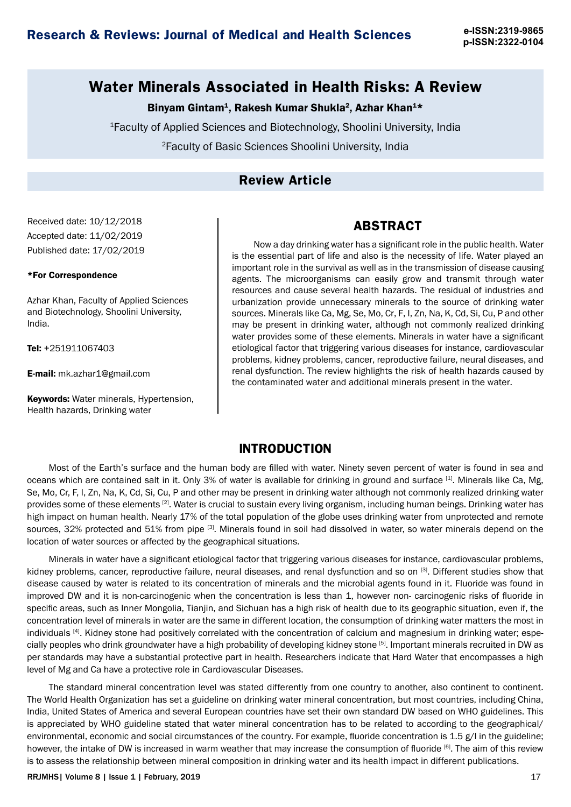**p-ISSN:2322-0104**

## **Water Minerals Associated in Health Risks: A Review**

### Binyam Gintam<sup>1</sup>, Rakesh Kumar Shukla<sup>2</sup>, Azhar Khan<sup>1\*</sup>

<sup>1</sup>Faculty of Applied Sciences and Biotechnology, Shoolini University, India

<sup>2</sup>Faculty of Basic Sciences Shoolini University, India

## **Review Article**

Received date: 10/12/2018 Accepted date: 11/02/2019 Published date: 17/02/2019

#### \*For Correspondence

Azhar Khan, Faculty of Applied Sciences and Biotechnology, Shoolini University, India.

Tel: +251911067403

E-mail: mk.azhar1@gmail.com

**Keywords:** Water minerals, Hypertension, Health hazards, Drinking water

Now a day drinking water has a significant role in the public health. Water is the essential part of life and also is the necessity of life. Water played an important role in the survival as well as in the transmission of disease causing agents. The microorganisms can easily grow and transmit through water resources and cause several health hazards. The residual of industries and urbanization provide unnecessary minerals to the source of drinking water sources. Minerals like Ca, Mg, Se, Mo, Cr, F, I, Zn, Na, K, Cd, Si, Cu, P and other may be present in drinking water, although not commonly realized drinking water provides some of these elements. Minerals in water have a significant etiological factor that triggering various diseases for instance, cardiovascular problems, kidney problems, cancer, reproductive failure, neural diseases, and renal dysfunction. The review highlights the risk of health hazards caused by

the contaminated water and additional minerals present in the water.

**ABSTRACT**

### **INTRODUCTION**

Most of the Earth's surface and the human body are filled with water. Ninety seven percent of water is found in sea and oceans which are contained salt in it. Only 3% of water is available for drinking in ground and surface [1]. Minerals like Ca, Mg, Se, Mo, Cr, F, I, Zn, Na, K, Cd, Si, Cu, P and other may be present in drinking water although not commonly realized drinking water provides some of these elements<sup>[2]</sup>. Water is crucial to sustain every living organism, including human beings. Drinking water has high impact on human health. Nearly 17% of the total population of the globe uses drinking water from unprotected and remote sources, 32% protected and 51% from pipe [3]. Minerals found in soil had dissolved in water, so water minerals depend on the location of water sources or affected by the geographical situations.

Minerals in water have a significant etiological factor that triggering various diseases for instance, cardiovascular problems, kidney problems, cancer, reproductive failure, neural diseases, and renal dysfunction and so on [3]. Different studies show that disease caused by water is related to its concentration of minerals and the microbial agents found in it. Fluoride was found in improved DW and it is non-carcinogenic when the concentration is less than 1, however non- carcinogenic risks of fluoride in specific areas, such as Inner Mongolia, Tianjin, and Sichuan has a high risk of health due to its geographic situation, even if, the concentration level of minerals in water are the same in different location, the consumption of drinking water matters the most in individuals <sup>[4]</sup>. Kidney stone had positively correlated with the concentration of calcium and magnesium in drinking water; especially peoples who drink groundwater have a high probability of developing kidney stone [5]. Important minerals recruited in DW as per standards may have a substantial protective part in health. Researchers indicate that Hard Water that encompasses a high level of Mg and Ca have a protective role in Cardiovascular Diseases.

The standard mineral concentration level was stated differently from one country to another, also continent to continent. The World Health Organization has set a guideline on drinking water mineral concentration, but most countries, including China, India, United States of America and several European countries have set their own standard DW based on WHO guidelines. This is appreciated by WHO guideline stated that water mineral concentration has to be related to according to the geographical/ environmental, economic and social circumstances of the country. For example, fluoride concentration is 1.5 g/l in the guideline; however, the intake of DW is increased in warm weather that may increase the consumption of fluoride [6]. The aim of this review is to assess the relationship between mineral composition in drinking water and its health impact in different publications.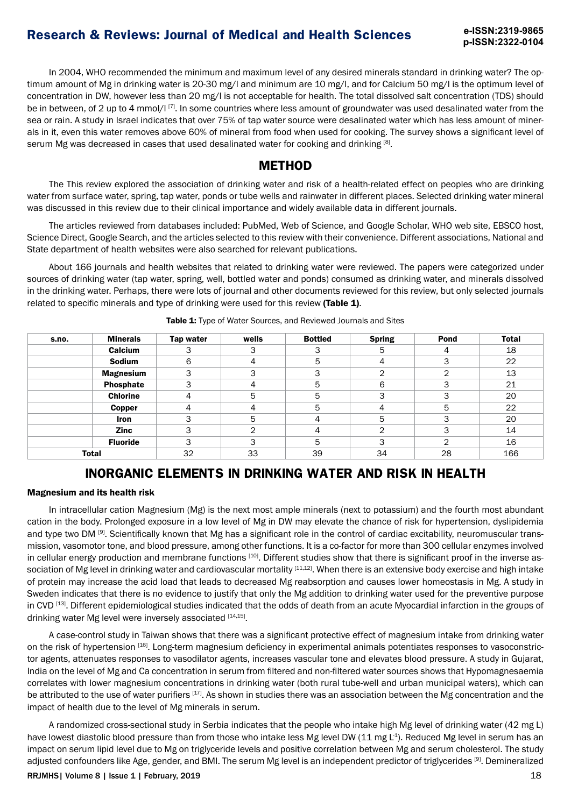**p-ISSN:2322-0104**

In 2004, WHO recommended the minimum and maximum level of any desired minerals standard in drinking water? The optimum amount of Mg in drinking water is 20-30 mg/l and minimum are 10 mg/l, and for Calcium 50 mg/l is the optimum level of concentration in DW, however less than 20 mg/l is not acceptable for health. The total dissolved salt concentration (TDS) should be in between, of 2 up to 4 mmol/l<sup>[7]</sup>. In some countries where less amount of groundwater was used desalinated water from the sea or rain. A study in Israel indicates that over 75% of tap water source were desalinated water which has less amount of minerals in it, even this water removes above 60% of mineral from food when used for cooking. The survey shows a significant level of serum Mg was decreased in cases that used desalinated water for cooking and drinking [8].

### **METHOD**

The This review explored the association of drinking water and risk of a health-related effect on peoples who are drinking water from surface water, spring, tap water, ponds or tube wells and rainwater in different places. Selected drinking water mineral was discussed in this review due to their clinical importance and widely available data in different journals.

The articles reviewed from databases included: PubMed, Web of Science, and Google Scholar, WHO web site, EBSCO host, Science Direct, Google Search, and the articles selected to this review with their convenience. Different associations, National and State department of health websites were also searched for relevant publications.

About 166 journals and health websites that related to drinking water were reviewed. The papers were categorized under sources of drinking water (tap water, spring, well, bottled water and ponds) consumed as drinking water, and minerals dissolved in the drinking water. Perhaps, there were lots of journal and other documents reviewed for this review, but only selected journals related to specific minerals and type of drinking were used for this review (Table 1).

| s.no.        | <b>Minerals</b>  | Tap water | wells | <b>Bottled</b> | <b>Spring</b> | Pond | <b>Total</b> |
|--------------|------------------|-----------|-------|----------------|---------------|------|--------------|
|              | Calcium          |           | 3     | 3              | 5             | 4    | 18           |
|              | Sodium           | 6         | 4     | 5              | 4             | 3    | 22           |
|              | <b>Magnesium</b> | っ         | 3     | 3              | ⌒             | ⌒    | 13           |
|              | Phosphate        | ⌒         | 4     | 5              | 6             | 3    | 21           |
|              | <b>Chlorine</b>  |           | 5     | 5              | ີ             | 3    | 20           |
|              | Copper           |           | 4     | 5              | Δ             | 5    | 22           |
|              | <b>Iron</b>      |           | 5     | 4              | 5             | 3    | 20           |
|              | <b>Zinc</b>      | っ         | っ     | 4              | ⌒             | 3    | 14           |
|              | <b>Fluoride</b>  | З         | 3     | 5              | っ             | ⌒    | 16           |
| <b>Total</b> |                  | 32        | 33    | 39             | 34            | 28   | 166          |

Table 1: Type of Water Sources, and Reviewed Journals and Sites

## **INORGANIC ELEMENTS IN DRINKING WATER AND RISK IN HEALTH**

### Magnesium and its health risk

In intracellular cation Magnesium (Mg) is the next most ample minerals (next to potassium) and the fourth most abundant cation in the body. Prolonged exposure in a low level of Mg in DW may elevate the chance of risk for hypertension, dyslipidemia and type two DM [9]. Scientifically known that Mg has a significant role in the control of cardiac excitability, neuromuscular transmission, vasomotor tone, and blood pressure, among other functions. It is a co-factor for more than 300 cellular enzymes involved in cellular energy production and membrane functions [10]. Different studies show that there is significant proof in the inverse association of Mg level in drinking water and cardiovascular mortality [11,12]. When there is an extensive body exercise and high intake of protein may increase the acid load that leads to decreased Mg reabsorption and causes lower homeostasis in Mg. A study in Sweden indicates that there is no evidence to justify that only the Mg addition to drinking water used for the preventive purpose in CVD [13]. Different epidemiological studies indicated that the odds of death from an acute Myocardial infarction in the groups of drinking water Mg level were inversely associated [14,15].

A case-control study in Taiwan shows that there was a significant protective effect of magnesium intake from drinking water on the risk of hypertension [16]. Long-term magnesium deficiency in experimental animals potentiates responses to vasoconstrictor agents, attenuates responses to vasodilator agents, increases vascular tone and elevates blood pressure. A study in Gujarat, India on the level of Mg and Ca concentration in serum from filtered and non-filtered water sources shows that Hypomagnesaemia correlates with lower magnesium concentrations in drinking water (both rural tube-well and urban municipal waters), which can be attributed to the use of water purifiers [17]. As shown in studies there was an association between the Mg concentration and the impact of health due to the level of Mg minerals in serum.

A randomized cross-sectional study in Serbia indicates that the people who intake high Mg level of drinking water (42 mg L) have lowest diastolic blood pressure than from those who intake less Mg level DW (11 mg L<sup>1</sup>). Reduced Mg level in serum has an impact on serum lipid level due to Mg on triglyceride levels and positive correlation between Mg and serum cholesterol. The study adjusted confounders like Age, gender, and BMI. The serum Mg level is an independent predictor of triglycerides [9]. Demineralized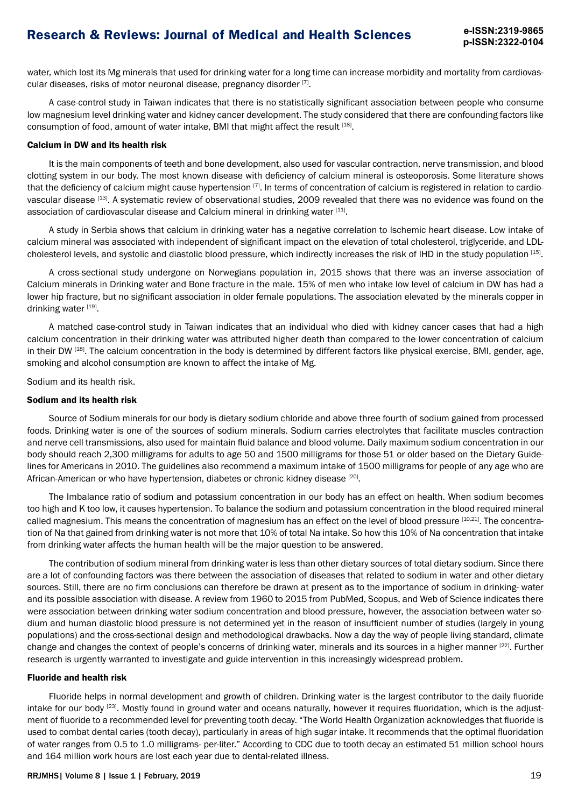water, which lost its Mg minerals that used for drinking water for a long time can increase morbidity and mortality from cardiovascular diseases, risks of motor neuronal disease, pregnancy disorder [7].

A case-control study in Taiwan indicates that there is no statistically significant association between people who consume low magnesium level drinking water and kidney cancer development. The study considered that there are confounding factors like consumption of food, amount of water intake, BMI that might affect the result [18].

#### Calcium in DW and its health risk

It is the main components of teeth and bone development, also used for vascular contraction, nerve transmission, and blood clotting system in our body. The most known disease with deficiency of calcium mineral is osteoporosis. Some literature shows that the deficiency of calcium might cause hypertension  $[7]$ . In terms of concentration of calcium is registered in relation to cardiovascular disease [13]. A systematic review of observational studies, 2009 revealed that there was no evidence was found on the association of cardiovascular disease and Calcium mineral in drinking water [11].

A study in Serbia shows that calcium in drinking water has a negative correlation to Ischemic heart disease. Low intake of calcium mineral was associated with independent of significant impact on the elevation of total cholesterol, triglyceride, and LDLcholesterol levels, and systolic and diastolic blood pressure, which indirectly increases the risk of IHD in the study population [15].

A cross-sectional study undergone on Norwegians population in, 2015 shows that there was an inverse association of Calcium minerals in Drinking water and Bone fracture in the male. 15% of men who intake low level of calcium in DW has had a lower hip fracture, but no significant association in older female populations. The association elevated by the minerals copper in drinking water [19].

A matched case-control study in Taiwan indicates that an individual who died with kidney cancer cases that had a high calcium concentration in their drinking water was attributed higher death than compared to the lower concentration of calcium in their DW  $^{[18]}$ . The calcium concentration in the body is determined by different factors like physical exercise, BMI, gender, age, smoking and alcohol consumption are known to affect the intake of Mg.

Sodium and its health risk.

### Sodium and its health risk

Source of Sodium minerals for our body is dietary sodium chloride and above three fourth of sodium gained from processed foods. Drinking water is one of the sources of sodium minerals. Sodium carries electrolytes that facilitate muscles contraction and nerve cell transmissions, also used for maintain fluid balance and blood volume. Daily maximum sodium concentration in our body should reach 2,300 milligrams for adults to age 50 and 1500 milligrams for those 51 or older based on the Dietary Guidelines for Americans in 2010. The guidelines also recommend a maximum intake of 1500 milligrams for people of any age who are African-American or who have hypertension, diabetes or chronic kidney disease [20].

The Imbalance ratio of sodium and potassium concentration in our body has an effect on health. When sodium becomes too high and K too low, it causes hypertension. To balance the sodium and potassium concentration in the blood required mineral called magnesium. This means the concentration of magnesium has an effect on the level of blood pressure [10,21]. The concentration of Na that gained from drinking water is not more that 10% of total Na intake. So how this 10% of Na concentration that intake from drinking water affects the human health will be the major question to be answered.

The contribution of sodium mineral from drinking water is less than other dietary sources of total dietary sodium. Since there are a lot of confounding factors was there between the association of diseases that related to sodium in water and other dietary sources. Still, there are no firm conclusions can therefore be drawn at present as to the importance of sodium in drinking- water and its possible association with disease. A review from 1960 to 2015 from PubMed, Scopus, and Web of Science indicates there were association between drinking water sodium concentration and blood pressure, however, the association between water sodium and human diastolic blood pressure is not determined yet in the reason of insufficient number of studies (largely in young populations) and the cross-sectional design and methodological drawbacks. Now a day the way of people living standard, climate change and changes the context of people's concerns of drinking water, minerals and its sources in a higher manner [22]. Further research is urgently warranted to investigate and guide intervention in this increasingly widespread problem.

### Fluoride and health risk

Fluoride helps in normal development and growth of children. Drinking water is the largest contributor to the daily fluoride intake for our body <sup>[23]</sup>. Mostly found in ground water and oceans naturally, however it requires fluoridation, which is the adjustment of fluoride to a recommended level for preventing tooth decay. "The World Health Organization acknowledges that fluoride is used to combat dental caries (tooth decay), particularly in areas of high sugar intake. It recommends that the optimal fluoridation of water ranges from 0.5 to 1.0 milligrams- per-liter." According to CDC due to tooth decay an estimated 51 million school hours and 164 million work hours are lost each year due to dental-related illness.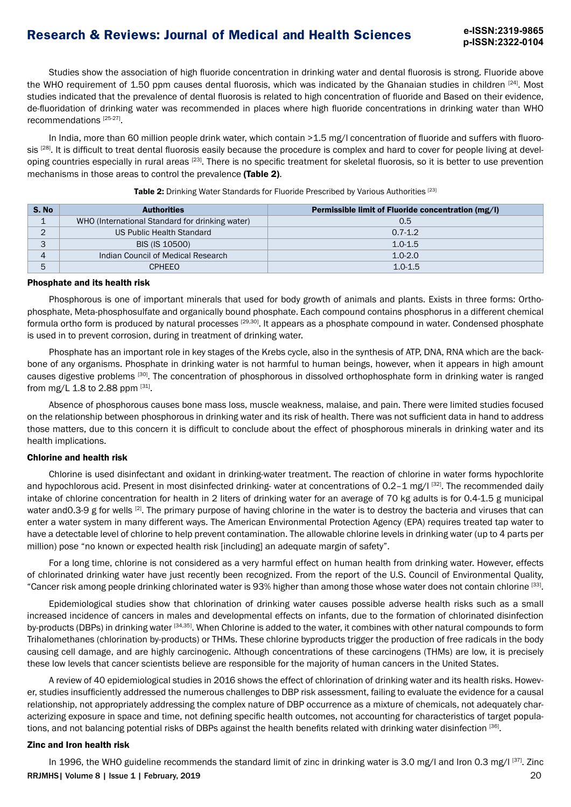Studies show the association of high fluoride concentration in drinking water and dental fluorosis is strong. Fluoride above the WHO requirement of 1.50 ppm causes dental fluorosis, which was indicated by the Ghanaian studies in children [24]. Most studies indicated that the prevalence of dental fluorosis is related to high concentration of fluoride and Based on their evidence, de-fluoridation of drinking water was recommended in places where high fluoride concentrations in drinking water than WHO recommendations [25-27].

In India, more than 60 million people drink water, which contain >1.5 mg/I concentration of fluoride and suffers with fluorosis [28]. It is difficult to treat dental fluorosis easily because the procedure is complex and hard to cover for people living at developing countries especially in rural areas [23]. There is no specific treatment for skeletal fluorosis, so it is better to use prevention mechanisms in those areas to control the prevalence (Table 2).

| S. No    | <b>Authorities</b>                              | Permissible limit of Fluoride concentration (mg/l) |  |  |
|----------|-------------------------------------------------|----------------------------------------------------|--|--|
|          | WHO (International Standard for drinking water) | 0.5                                                |  |  |
| $\sim$   | US Public Health Standard                       | $0.7 - 1.2$                                        |  |  |
| 3        | BIS (IS 10500)                                  | $1.0 - 1.5$                                        |  |  |
| $\Delta$ | Indian Council of Medical Research              | $1.0 - 2.0$                                        |  |  |
| 5        | <b>CPHFFO</b>                                   | $1.0 - 1.5$                                        |  |  |

Table 2: Drinking Water Standards for Fluoride Prescribed by Various Authorities [23]

#### Phosphate and its health risk

Phosphorous is one of important minerals that used for body growth of animals and plants. Exists in three forms: Orthophosphate, Meta-phosphosulfate and organically bound phosphate. Each compound contains phosphorus in a different chemical formula ortho form is produced by natural processes [29,30]. It appears as a phosphate compound in water. Condensed phosphate is used in to prevent corrosion, during in treatment of drinking water.

Phosphate has an important role in key stages of the Krebs cycle, also in the synthesis of ATP, DNA, RNA which are the backbone of any organisms. Phosphate in drinking water is not harmful to human beings, however, when it appears in high amount causes digestive problems [30]. The concentration of phosphorous in dissolved orthophosphate form in drinking water is ranged from mg/L 1.8 to 2.88 ppm [31].

Absence of phosphorous causes bone mass loss, muscle weakness, malaise, and pain. There were limited studies focused on the relationship between phosphorous in drinking water and its risk of health. There was not sufficient data in hand to address those matters, due to this concern it is difficult to conclude about the effect of phosphorous minerals in drinking water and its health implications.

### Chlorine and health risk

Chlorine is used disinfectant and oxidant in drinking-water treatment. The reaction of chlorine in water forms hypochlorite and hypochlorous acid. Present in most disinfected drinking- water at concentrations of 0.2-1 mg/l [32]. The recommended daily intake of chlorine concentration for health in 2 liters of drinking water for an average of 70 kg adults is for 0.4-1.5 g municipal water and 0.3-9 g for wells <sup>[2]</sup>. The primary purpose of having chlorine in the water is to destroy the bacteria and viruses that can enter a water system in many different ways. The American Environmental Protection Agency (EPA) requires treated tap water to have a detectable level of chlorine to help prevent contamination. The allowable chlorine levels in drinking water (up to 4 parts per million) pose "no known or expected health risk [including] an adequate margin of safety".

For a long time, chlorine is not considered as a very harmful effect on human health from drinking water. However, effects of chlorinated drinking water have just recently been recognized. From the report of the U.S. Council of Environmental Quality, "Cancer risk among people drinking chlorinated water is 93% higher than among those whose water does not contain chlorine [33].

Epidemiological studies show that chlorination of drinking water causes possible adverse health risks such as a small increased incidence of cancers in males and developmental effects on infants, due to the formation of chlorinated disinfection by-products (DBPs) in drinking water [34,35]. When Chlorine is added to the water, it combines with other natural compounds to form Trihalomethanes (chlorination by-products) or THMs. These chlorine byproducts trigger the production of free radicals in the body causing cell damage, and are highly carcinogenic. Although concentrations of these carcinogens (THMs) are low, it is precisely these low levels that cancer scientists believe are responsible for the majority of human cancers in the United States.

A review of 40 epidemiological studies in 2016 shows the effect of chlorination of drinking water and its health risks. However, studies insufficiently addressed the numerous challenges to DBP risk assessment, failing to evaluate the evidence for a causal relationship, not appropriately addressing the complex nature of DBP occurrence as a mixture of chemicals, not adequately characterizing exposure in space and time, not defining specific health outcomes, not accounting for characteristics of target populations, and not balancing potential risks of DBPs against the health benefits related with drinking water disinfection [36].

### Zinc and Iron health risk

20 RRJMHS| Volume 8 | Issue 1 | February, 2019 In 1996, the WHO guideline recommends the standard limit of zinc in drinking water is 3.0 mg/l and Iron 0.3 mg/l [37]. Zinc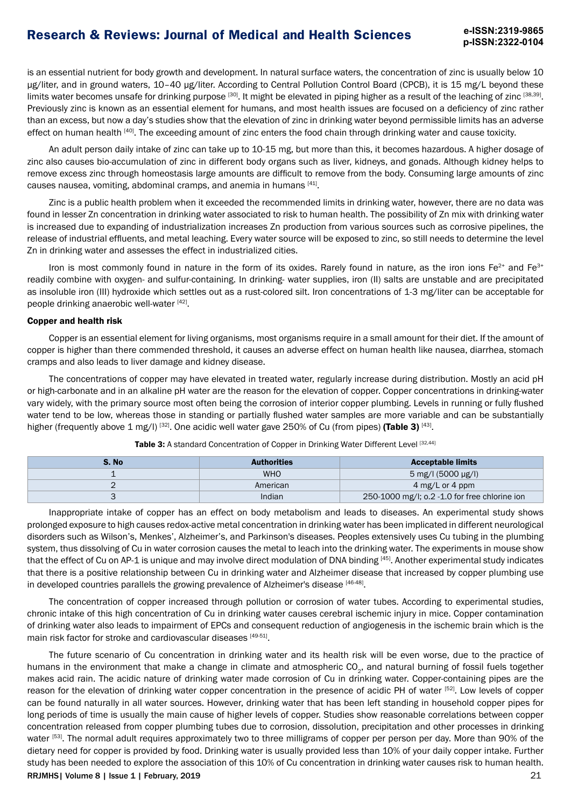is an essential nutrient for body growth and development. In natural surface waters, the concentration of zinc is usually below 10 µg/liter, and in ground waters, 10–40 µg/liter. According to Central Pollution Control Board (CPCB), it is 15 mg/L beyond these limits water becomes unsafe for drinking purpose [30]. It might be elevated in piping higher as a result of the leaching of zinc [38,39]. Previously zinc is known as an essential element for humans, and most health issues are focused on a deficiency of zinc rather than an excess, but now a day's studies show that the elevation of zinc in drinking water beyond permissible limits has an adverse effect on human health [40]. The exceeding amount of zinc enters the food chain through drinking water and cause toxicity.

An adult person daily intake of zinc can take up to 10-15 mg, but more than this, it becomes hazardous. A higher dosage of zinc also causes bio-accumulation of zinc in different body organs such as liver, kidneys, and gonads. Although kidney helps to remove excess zinc through homeostasis large amounts are difficult to remove from the body. Consuming large amounts of zinc causes nausea, vomiting, abdominal cramps, and anemia in humans [41].

Zinc is a public health problem when it exceeded the recommended limits in drinking water, however, there are no data was found in lesser Zn concentration in drinking water associated to risk to human health. The possibility of Zn mix with drinking water is increased due to expanding of industrialization increases Zn production from various sources such as corrosive pipelines, the release of industrial effluents, and metal leaching. Every water source will be exposed to zinc, so still needs to determine the level Zn in drinking water and assesses the effect in industrialized cities.

Iron is most commonly found in nature in the form of its oxides. Rarely found in nature, as the iron ions Fe<sup>2+</sup> and Fe<sup>3+</sup> readily combine with oxygen- and sulfur-containing. In drinking- water supplies, iron (II) salts are unstable and are precipitated as insoluble iron (III) hydroxide which settles out as a rust-colored silt. Iron concentrations of 1-3 mg/liter can be acceptable for people drinking anaerobic well-water [42].

#### Copper and health risk

Copper is an essential element for living organisms, most organisms require in a small amount for their diet. If the amount of copper is higher than there commended threshold, it causes an adverse effect on human health like nausea, diarrhea, stomach cramps and also leads to liver damage and kidney disease.

The concentrations of copper may have elevated in treated water, regularly increase during distribution. Mostly an acid pH or high-carbonate and in an alkaline pH water are the reason for the elevation of copper. Copper concentrations in drinking-water vary widely, with the primary source most often being the corrosion of interior copper plumbing. Levels in running or fully flushed water tend to be low, whereas those in standing or partially flushed water samples are more variable and can be substantially higher (frequently above 1 mg/l)  $^{[32]}$ . One acidic well water gave 250% of Cu (from pipes) (Table 3)  $^{[43]}$ .

| S. No | <b>Authorities</b> | <b>Acceptable limits</b>                      |
|-------|--------------------|-----------------------------------------------|
|       | <b>WHO</b>         | 5 mg/l (5000 µg/l)                            |
| -     | American           | 4 mg/L or 4 ppm                               |
|       | Indian             | 250-1000 mg/l; o.2 -1.0 for free chlorine ion |

Inappropriate intake of copper has an effect on body metabolism and leads to diseases. An experimental study shows prolonged exposure to high causes redox-active metal concentration in drinking water has been implicated in different neurological disorders such as Wilson's, Menkes', Alzheimer's, and Parkinson's diseases. Peoples extensively uses Cu tubing in the plumbing system, thus dissolving of Cu in water corrosion causes the metal to leach into the drinking water. The experiments in mouse show that the effect of Cu on AP-1 is unique and may involve direct modulation of DNA binding [45]. Another experimental study indicates that there is a positive relationship between Cu in drinking water and Alzheimer disease that increased by copper plumbing use in developed countries parallels the growing prevalence of Alzheimer's disease [46-48].

The concentration of copper increased through pollution or corrosion of water tubes. According to experimental studies, chronic intake of this high concentration of Cu in drinking water causes cerebral ischemic injury in mice. Copper contamination of drinking water also leads to impairment of EPCs and consequent reduction of angiogenesis in the ischemic brain which is the main risk factor for stroke and cardiovascular diseases [49-51].

21 RRJMHS| Volume 8 | Issue 1 | February, 2019 The future scenario of Cu concentration in drinking water and its health risk will be even worse, due to the practice of humans in the environment that make a change in climate and atmospheric CO<sub>2</sub>, and natural burning of fossil fuels together makes acid rain. The acidic nature of drinking water made corrosion of Cu in drinking water. Copper-containing pipes are the reason for the elevation of drinking water copper concentration in the presence of acidic PH of water [52]. Low levels of copper can be found naturally in all water sources. However, drinking water that has been left standing in household copper pipes for long periods of time is usually the main cause of higher levels of copper. Studies show reasonable correlations between copper concentration released from copper plumbing tubes due to corrosion, dissolution, precipitation and other processes in drinking water [53]. The normal adult requires approximately two to three milligrams of copper per person per day. More than 90% of the dietary need for copper is provided by food. Drinking water is usually provided less than 10% of your daily copper intake. Further study has been needed to explore the association of this 10% of Cu concentration in drinking water causes risk to human health.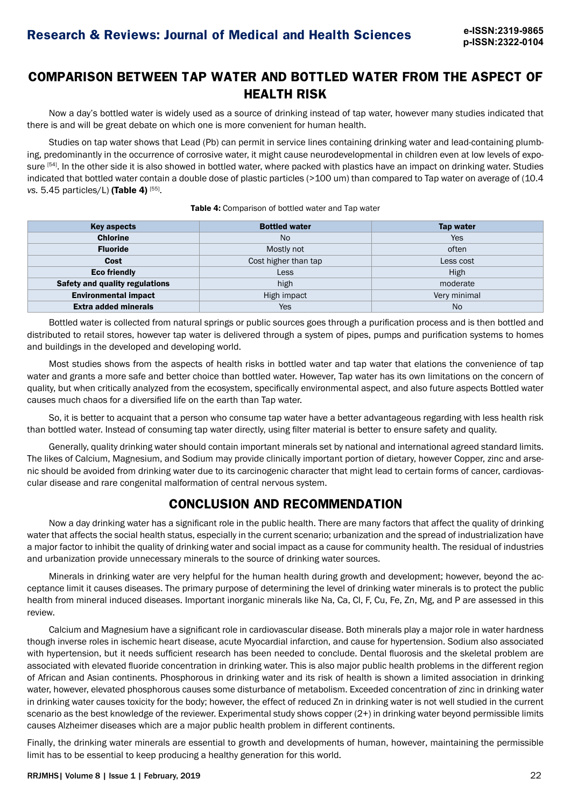## **COMPARISON BETWEEN TAP WATER AND BOTTLED WATER FROM THE ASPECT OF HEALTH RISK**

Now a day's bottled water is widely used as a source of drinking instead of tap water, however many studies indicated that there is and will be great debate on which one is more convenient for human health.

Studies on tap water shows that Lead (Pb) can permit in service lines containing drinking water and lead-containing plumbing, predominantly in the occurrence of corrosive water, it might cause neurodevelopmental in children even at low levels of exposure <sup>[54]</sup>. In the other side it is also showed in bottled water, where packed with plastics have an impact on drinking water. Studies indicated that bottled water contain a double dose of plastic particles (>100 um) than compared to Tap water on average of (10.4 *vs.* 5.45 particles/L) (Table 4) [55].

### **Key aspects** Tap water Tap Water Tap water Tap water Tap water Tap water Tap water Tap water Chlorine Motor (Note that the Note that the Note that the Note that the Note that the Note that the Note that  $\lambda$ **Fluoride** Mostly not and Mostly not often a set often often often  $\mathsf{M}$ **Cost** Cost Cost higher than tap Cost Less cost **Eco friendly** Research High Millet Less Research High Millet High Millet Millet Millet Millet Millet Millet Mil Safety and quality regulations and the control of the high moderate moderate moderate moderate **Environmental impact** and the state of the High impact the Very minimal very minimal **Extra added minerals No. 2018** No. 2018 No. 2019 No. 2019 No. 2019 No. 2019 No. 2019 No. 2019 No. 2019 No. 2019

Table 4: Comparison of bottled water and Tap water

Bottled water is collected from natural springs or public sources goes through a purification process and is then bottled and distributed to retail stores, however tap water is delivered through a system of pipes, pumps and purification systems to homes and buildings in the developed and developing world.

Most studies shows from the aspects of health risks in bottled water and tap water that elations the convenience of tap water and grants a more safe and better choice than bottled water. However, Tap water has its own limitations on the concern of quality, but when critically analyzed from the ecosystem, specifically environmental aspect, and also future aspects Bottled water causes much chaos for a diversified life on the earth than Tap water.

So, it is better to acquaint that a person who consume tap water have a better advantageous regarding with less health risk than bottled water. Instead of consuming tap water directly, using filter material is better to ensure safety and quality.

Generally, quality drinking water should contain important minerals set by national and international agreed standard limits. The likes of Calcium, Magnesium, and Sodium may provide clinically important portion of dietary, however Copper, zinc and arsenic should be avoided from drinking water due to its carcinogenic character that might lead to certain forms of cancer, cardiovascular disease and rare congenital malformation of central nervous system.

## **CONCLUSION AND RECOMMENDATION**

Now a day drinking water has a significant role in the public health. There are many factors that affect the quality of drinking water that affects the social health status, especially in the current scenario; urbanization and the spread of industrialization have a major factor to inhibit the quality of drinking water and social impact as a cause for community health. The residual of industries and urbanization provide unnecessary minerals to the source of drinking water sources.

Minerals in drinking water are very helpful for the human health during growth and development; however, beyond the acceptance limit it causes diseases. The primary purpose of determining the level of drinking water minerals is to protect the public health from mineral induced diseases. Important inorganic minerals like Na, Ca, Cl, F, Cu, Fe, Zn, Mg, and P are assessed in this review.

Calcium and Magnesium have a significant role in cardiovascular disease. Both minerals play a major role in water hardness though inverse roles in ischemic heart disease, acute Myocardial infarction, and cause for hypertension. Sodium also associated with hypertension, but it needs sufficient research has been needed to conclude. Dental fluorosis and the skeletal problem are associated with elevated fluoride concentration in drinking water. This is also major public health problems in the different region of African and Asian continents. Phosphorous in drinking water and its risk of health is shown a limited association in drinking water, however, elevated phosphorous causes some disturbance of metabolism. Exceeded concentration of zinc in drinking water in drinking water causes toxicity for the body; however, the effect of reduced Zn in drinking water is not well studied in the current scenario as the best knowledge of the reviewer. Experimental study shows copper (2+) in drinking water beyond permissible limits causes Alzheimer diseases which are a major public health problem in different continents.

Finally, the drinking water minerals are essential to growth and developments of human, however, maintaining the permissible limit has to be essential to keep producing a healthy generation for this world.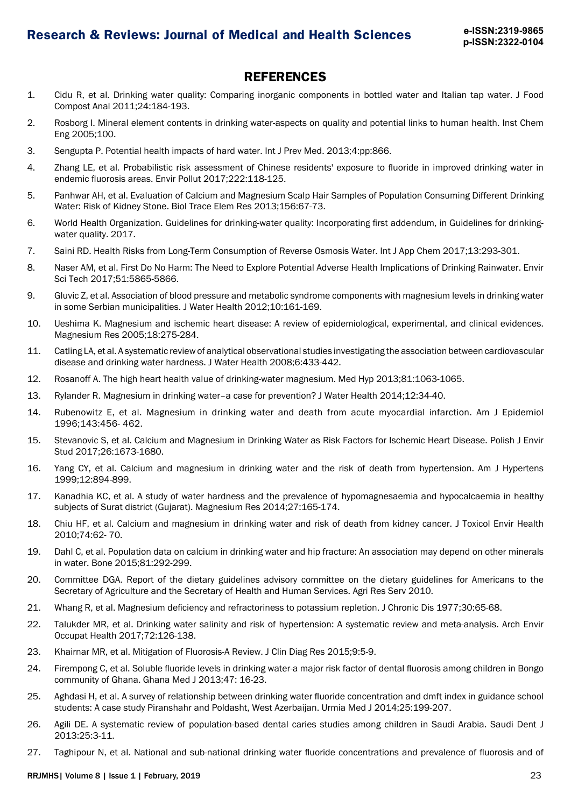### **REFERENCES**

- 1. Cidu R, et al. Drinking water quality: Comparing inorganic components in bottled water and Italian tap water. J Food Compost Anal 2011;24:184-193.
- 2. Rosborg I. Mineral element contents in drinking water-aspects on quality and potential links to human health. Inst Chem Eng 2005;100.
- 3. Sengupta P. Potential health impacts of hard water. Int J Prev Med. 2013;4:pp:866.
- 4. Zhang LE, et al. Probabilistic risk assessment of Chinese residents' exposure to fluoride in improved drinking water in endemic fluorosis areas. Envir Pollut 2017;222:118-125.
- 5. Panhwar AH, et al. Evaluation of Calcium and Magnesium Scalp Hair Samples of Population Consuming Different Drinking Water: Risk of Kidney Stone. Biol Trace Elem Res 2013;156:67-73.
- 6. World Health Organization. Guidelines for drinking-water quality: Incorporating first addendum, in Guidelines for drinkingwater quality. 2017.
- 7. Saini RD. Health Risks from Long-Term Consumption of Reverse Osmosis Water. Int J App Chem 2017;13:293-301.
- 8. Naser AM, et al. First Do No Harm: The Need to Explore Potential Adverse Health Implications of Drinking Rainwater. Envir Sci Tech 2017;51:5865-5866.
- 9. Gluvic Z, et al. Association of blood pressure and metabolic syndrome components with magnesium levels in drinking water in some Serbian municipalities. J Water Health 2012;10:161-169.
- 10. Ueshima K. Magnesium and ischemic heart disease: A review of epidemiological, experimental, and clinical evidences. Magnesium Res 2005;18:275-284.
- 11. Catling LA, et al. A systematic review of analytical observational studies investigating the association between cardiovascular disease and drinking water hardness. J Water Health 2008;6:433-442.
- 12. Rosanoff A. The high heart health value of drinking-water magnesium. Med Hyp 2013;81:1063-1065.
- 13. Rylander R. Magnesium in drinking water–a case for prevention? J Water Health 2014;12:34-40.
- 14. Rubenowitz E, et al. Magnesium in drinking water and death from acute myocardial infarction. Am J Epidemiol 1996;143:456- 462.
- 15. Stevanovic S, et al. Calcium and Magnesium in Drinking Water as Risk Factors for Ischemic Heart Disease. Polish J Envir Stud 2017;26:1673-1680.
- 16. Yang CY, et al. Calcium and magnesium in drinking water and the risk of death from hypertension. Am J Hypertens 1999;12:894-899.
- 17. Kanadhia KC, et al. A study of water hardness and the prevalence of hypomagnesaemia and hypocalcaemia in healthy subjects of Surat district (Gujarat). Magnesium Res 2014;27:165-174.
- 18. Chiu HF, et al. Calcium and magnesium in drinking water and risk of death from kidney cancer. J Toxicol Envir Health 2010;74:62- 70.
- 19. Dahl C, et al. Population data on calcium in drinking water and hip fracture: An association may depend on other minerals in water. Bone 2015;81:292-299.
- 20. Committee DGA. Report of the dietary guidelines advisory committee on the dietary guidelines for Americans to the Secretary of Agriculture and the Secretary of Health and Human Services. Agri Res Serv 2010.
- 21. Whang R, et al. Magnesium deficiency and refractoriness to potassium repletion. J Chronic Dis 1977;30:65-68.
- 22. Talukder MR, et al. Drinking water salinity and risk of hypertension: A systematic review and meta-analysis. Arch Envir Occupat Health 2017;72:126-138.
- 23. Khairnar MR, et al. Mitigation of Fluorosis-A Review. J Clin Diag Res 2015;9:5-9.
- 24. Firempong C, et al. Soluble fluoride levels in drinking water-a major risk factor of dental fluorosis among children in Bongo community of Ghana. Ghana Med J 2013;47: 16-23.
- 25. Aghdasi H, et al. A survey of relationship between drinking water fluoride concentration and dmft index in guidance school students: A case study Piranshahr and Poldasht, West Azerbaijan. Urmia Med J 2014;25:199-207.
- 26. Agili DE. A systematic review of population-based dental caries studies among children in Saudi Arabia. Saudi Dent J 2013:25:3-11.
- 27. Taghipour N, et al. National and sub-national drinking water fluoride concentrations and prevalence of fluorosis and of